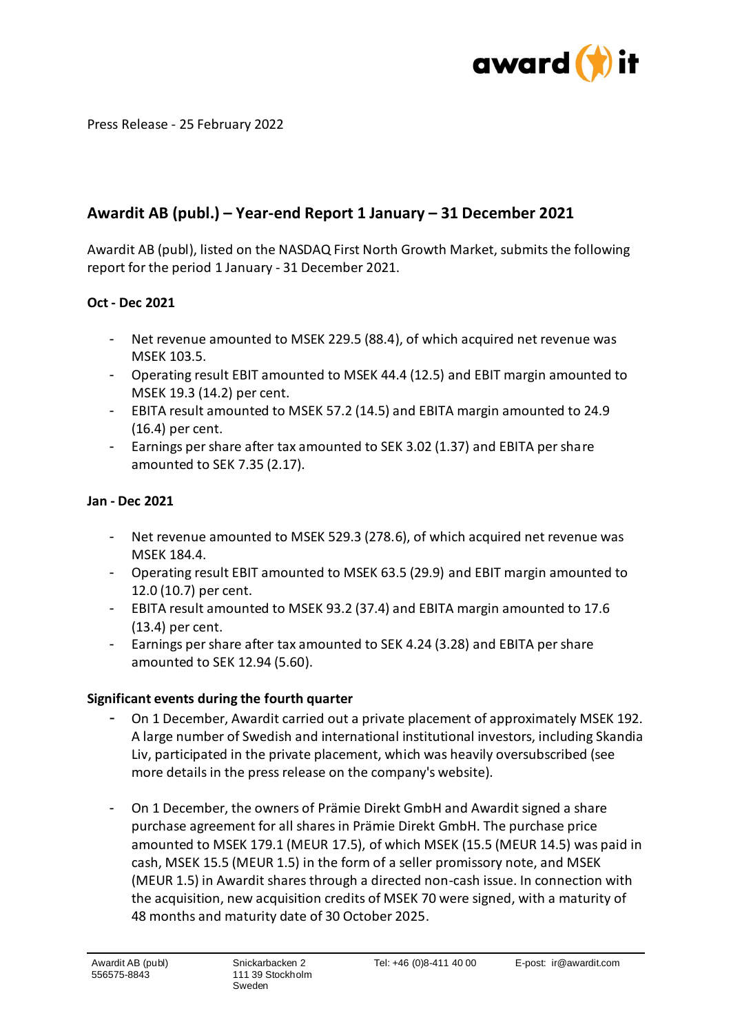

Press Release - 25 February 2022

# **Awardit AB (publ.) – Year-end Report 1 January – 31 December 2021**

Awardit AB (publ), listed on the NASDAQ First North Growth Market, submits the following report for the period 1 January - 31 December 2021.

# **Oct - Dec 2021**

- Net revenue amounted to MSEK 229.5 (88.4), of which acquired net revenue was MSEK 103.5.
- Operating result EBIT amounted to MSEK 44.4 (12.5) and EBIT margin amounted to MSEK 19.3 (14.2) per cent.
- EBITA result amounted to MSEK 57.2 (14.5) and EBITA margin amounted to 24.9 (16.4) per cent.
- Earnings per share after tax amounted to SEK 3.02 (1.37) and EBITA per share amounted to SEK 7.35 (2.17).

## **Jan - Dec 2021**

- Net revenue amounted to MSEK 529.3 (278.6), of which acquired net revenue was MSEK 184.4.
- Operating result EBIT amounted to MSEK 63.5 (29.9) and EBIT margin amounted to 12.0 (10.7) per cent.
- EBITA result amounted to MSEK 93.2 (37.4) and EBITA margin amounted to 17.6 (13.4) per cent.
- Earnings per share after tax amounted to SEK 4.24 (3.28) and EBITA per share amounted to SEK 12.94 (5.60).

#### **Significant events during the fourth quarter**

- On 1 December, Awardit carried out a private placement of approximately MSEK 192. A large number of Swedish and international institutional investors, including Skandia Liv, participated in the private placement, which was heavily oversubscribed (see more details in the press release on the company's website).
- On 1 December, the owners of Prämie Direkt GmbH and Awardit signed a share purchase agreement for all shares in Prämie Direkt GmbH. The purchase price amounted to MSEK 179.1 (MEUR 17.5), of which MSEK (15.5 (MEUR 14.5) was paid in cash, MSEK 15.5 (MEUR 1.5) in the form of a seller promissory note, and MSEK (MEUR 1.5) in Awardit shares through a directed non-cash issue. In connection with the acquisition, new acquisition credits of MSEK 70 were signed, with a maturity of 48 months and maturity date of 30 October 2025.